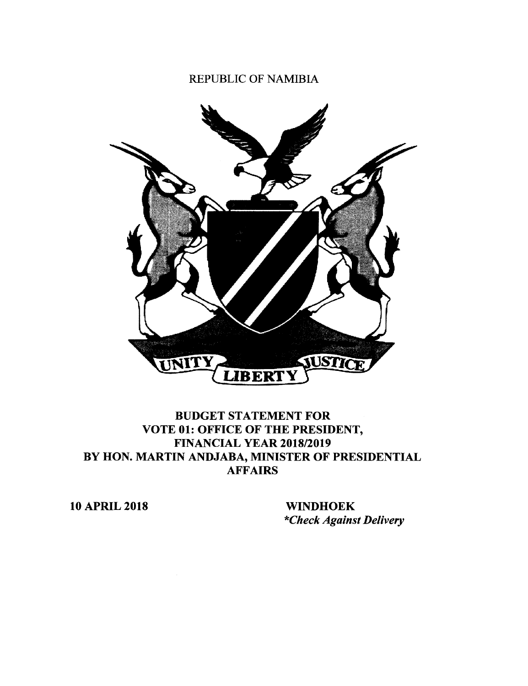## REPUBLIC OF NAMIBIA



## BUDGET STATEMENT FOR VOTE 01: OFFICE OF THE PRESIDENT, FINANCIAL YEAR 2018/2019 BY HON. MARTIN ANDJABA, MINISTER OF PRESIDENTIAL AFFAIRS

10 APRIL 2018 WINDHOEK

*\*Check Against Delivery*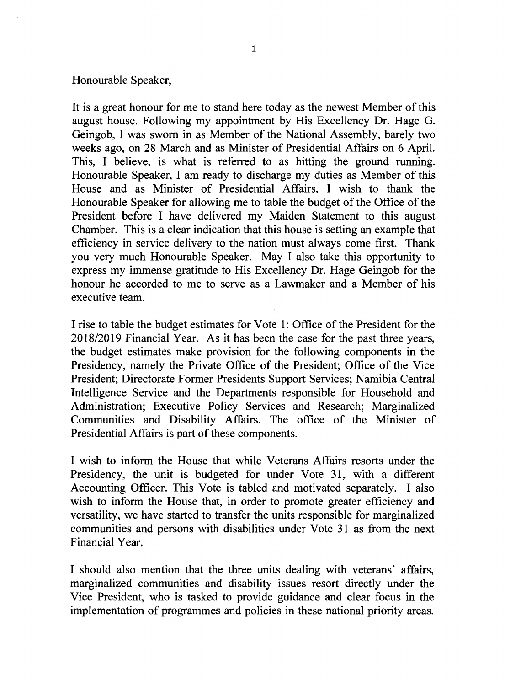## Honourable Speaker,

It is a great honour for me to stand here today as the newest Member of this august house. Following my appointment by His Excellency Dr. Hage G. Geingob, I was sworn in as Member of the National Assembly, barely two weeks ago, on 28 March and as Minister of Presidential Affairs on 6 April. This, I believe, is what is referred to as hitting the ground running. Honourable Speaker, I am ready to discharge my duties as Member of this House and as Minister of Presidential Affairs. I wish to thank the Honourable Speaker for allowing me to table the budget of the Office of the President before I have delivered my Maiden Statement to this august Chamber. This is a clear indication that this house is setting an example that efficiency in service delivery to the nation must always come first. Thank you very much Honourable Speaker. May I also take this opportunity to express my immense gratitude to His Excellency Dr. Hage Geingob for the honour he accorded to me to serve as a Lawmaker and a Member of his executive team.

I rise to table the budget estimates for Votel: Office of the President for the *2018/2019* Financial Year. As it has been the case for the past three years, the budget estimates make provision for the following components in the Presidency, namely the Private Office of the President; Office of the Vice President; Directorate Former Presidents Support Services; Namibia Central Intelligence Service and the Departments responsible for Household and Administration; Executive Policy Services and Research; Marginalized Communities and Disability Affairs. The office of the Minister of Presidential Affairs is part of these components.

I wish to inform the House that while Veterans Affairs resorts under the Presidency, the unit is budgeted for under Vote 31, with a different Accounting Officer. This Vote is tabled and motivated separately. I also wish to inform the House that, in order to promote greater efficiency and versatility, we have started to transfer the units responsible for marginalized communities and persons with disabilities under Vote 31 as from the next Financial Year.

I should also mention that the three units dealing with veterans' affairs, marginalized communities and disability issues resort directly under the Vice President, who is tasked to provide guidance and clear focus in the implementation of programmes and policies in these national priority areas.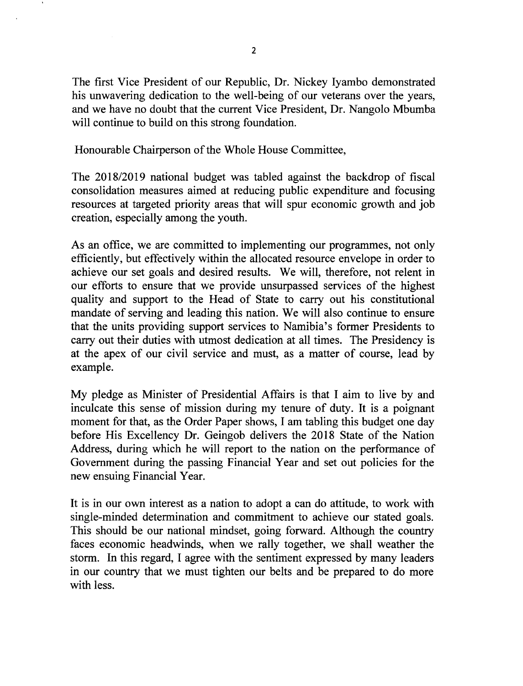The first Vice President of our Republic, Dr. Nickey Iyambo demonstrated his unwavering dedication to the well-being of our veterans over the years, and we have no doubt that the current Vice President, Dr. Nangolo Mbumba will continue to build on this strong foundation.

Honourable Chairperson of the Whole House Committee,

The 2018/2019 national budget was tabled against the backdrop of fiscal consolidation measures aimed at reducing public expenditure and focusing resources at targeted priority areas that will spur economic growth and job creation, especially among the youth.

As an office, we are committed to implementing our programmes, not only efficiently, but effectively within the allocated resource envelope in order to achieve our set goals and desired results. We will, therefore, not relent in our efforts to ensure that we provide unsurpassed services of the highest quality and support to the Head of State to carry out his constitutional mandate of serving and leading this nation. We will also continue to ensure that the units providing support services to Namibia's former Presidents to carry out their duties with utmost dedication at all times. The Presidency is at the apex of our civil service and must, as a matter of course, lead by example.

My pledge as Minister of Presidential Affairs is that I aim to live by and inculcate this sense of mission during my tenure of duty. It is a poignant moment for that, as the Order Paper shows, I am tabling this budget one day before His Excellency Dr. Geingob delivers the 2018 State of the Nation Address, during which he will report to the nation on the performance of Government during the passing Financial Year and set out policies for the new ensuing Financial Year.

It is in our own interest as a nation to adopt a can do attitude, to work with single-minded determination and commitment to achieve our stated goals. This should be our national mindset, going forward. Although the country faces economic headwinds, when we rally together, we shall weather the storm. In this regard, I agree with the sentiment expressed by many leaders in our country that we must tighten our belts and be prepared to do more with less.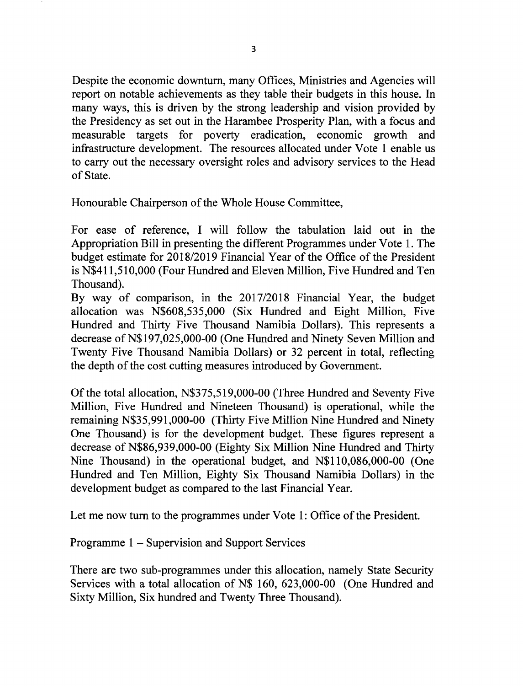Despite the economic downturn, many Offices, Ministries and Agencies will report on notable achievements as they table their budgets in this house. In many ways, this is driven by the strong leadership and vision provided by the Presidency as set out in the Harambee Prosperity Plan, with a focus and measurable targets for poverty eradication, economic growth and infrastructure development. The resources allocated under Vote 1 enable us to carry out the necessary oversight roles and advisory services to the Head of State.

Honourable Chairperson of the Whole House Committee,

For ease of reference, I will follow the tabulation laid out in the Appropriation Bill in presenting the different Programmes under Vote 1. The budget estimate for *2018/2019* Financial Year of the Office of the President is N\$411,510,000 (Four Hundred and Eleven Million, Five Hundred and Ten Thousand).

By way of comparison, in the *2017/2018* Financial Year, the budget allocation was N\$608,535,000 (Six Hundred and Eight Million, Five Hundred and Thirty Five Thousand Namibia Dollars). This represents a decrease of N\$197,025,000-00 (One Hundred and Ninety Seven Million and Twenty Five Thousand Namibia Dollars) or 32 percent in total, reflecting the depth of the cost cutting measures introduced by Government.

Of the total allocation, N\$375,519,000-00 (Three Hundred and Seventy Five Million, Five Hundred and Nineteen Thousand) is operational, while the remaining N\$35,991,000-00 (Thirty Five Million Nine Hundred and Ninety One Thousand) is for the development budget. These figures represent a decrease of N\$86,939,000-00 (Eighty Six Million Nine Hundred and Thirty Nine Thousand) in the operational budget, and N\$110,086,000-00 (One Hundred and Ten Million, Eighty Six Thousand Namibia Dollars) in the development budget as compared to the last Financial Year.

Let me now turn to the programmes under Vote 1: Office of the President.

Programme 1 - Supervision and Support Services

There are two sub-programmes under this allocation, namely State Security Services with a total allocation of N\$ 160, 623,000-00 (One Hundred and Sixty Million, Six hundred and Twenty Three Thousand).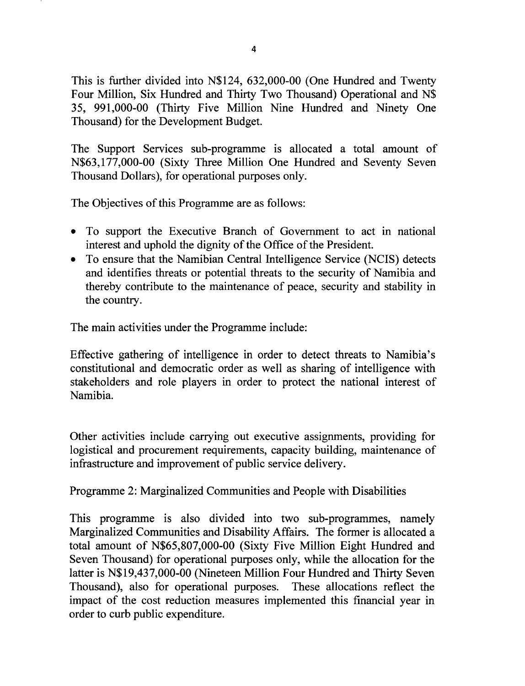This is further divided into N\$124, 632,000-00 (One Hundred and Twenty Four Million, Six Hundred and Thirty Two Thousand) Operational and N\$ 35, 991,000-00 (Thirty Five Million Nine Hundred and Ninety One Thousand) for the Development Budget.

The Support Services sub-programme is allocated a total amount of N\$63,177,000-00 (Sixty Three Million One Hundred and Seventy Seven Thousand Dollars), for operational purposes only.

The Objectives of this Programme are as follows:

- To support the Executive Branch of Government to act in national interest and uphold the dignity of the Office of the President.
- To ensure that the Namibian Central Intelligence Service (NCIS) detects and identifies threats or potential threats to the security of Namibia and thereby contribute to the maintenance of peace, security and stability in the country.

The main activities under the Programme include:

Effective gathering of intelligence in order to detect threats to Namibia's constitutional and democratic order as well as sharing of intelligence with stakeholders and role players in order to protect the national interest of Namibia.

Other activities include carrying out executive assignments, providing for logistical and procurement requirements, capacity building, maintenance of infrastructure and improvement of public service delivery.

Programme 2: Marginalized Communities and People with Disabilities

This programme is also divided into two sub-programmes, namely Marginalized Communities and Disability Affairs. The former is allocated a total amount of N\$65,807,000-00 (Sixty Five Million Eight Hundred and Seven Thousand) for operational purposes only, while the allocation for the latter is N\$19,437,000-00 (Nineteen Million Four Hundred and Thirty Seven Thousand), also for operational purposes. These allocations reflect the impact of the cost reduction measures implemented this financial year in order to curb public expenditure.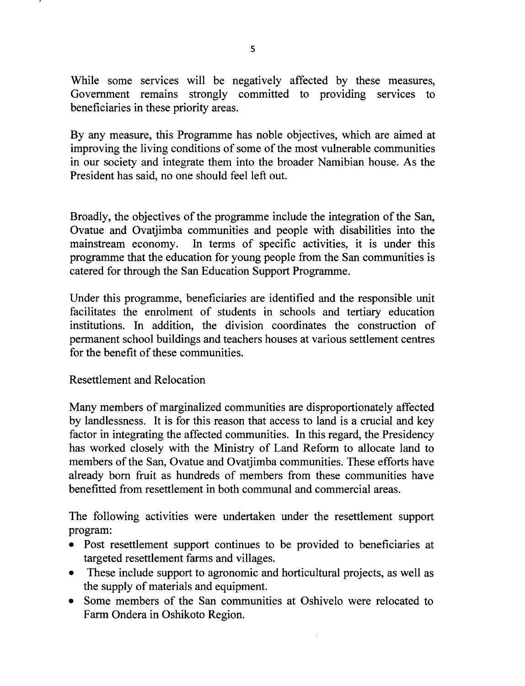While some services will be negatively affected by these measures, Government remains strongly committed to providing services to beneficiaries in these priority areas.

By any measure, this Programme has noble objectives, which are aimed at improving the living conditions of some of the most vulnerable communities in our society and integrate them into the broader Namibian house. As the President has said, no one should feel left out.

Broadly, the objectives of the programme include the integration of the San, Ovatue and Ovatjimba communities and people with disabilities into the mainstream economy. In terms of specific activities, it is under this programme that the education for young people from the San communities is catered for through the San Education Support Programme.

Under this programme, beneficiaries are identified and the responsible unit facilitates the enrolment of students in schools and tertiary education institutions. In addition, the division coordinates the construction of permanent school buildings and teachers houses at various settlement centres for the benefit of these communities.

Resettlement and Relocation

Many members of marginalized communities are disproportionately affected by landlessness. It is for this reason that access to land is a crucial and key factor in integrating the affected communities. In this regard, the Presidency has worked closely with the Ministry of Land Reform to allocate land to members of the San, Ovatue and Ovatjimba communities. These efforts have already born fruit as hundreds of members from these communities have bene fitted from resettlement in both communal and commercial areas.

The following activities were undertaken under the resettlement support program:

- Post resettlement support continues to be provided to beneficiaries at targeted resettlement farms and villages.
- These include support to agronomic and horticultural projects, as well as the supply of materials and equipment.
- Some members of the San communities at Oshivelo were relocated to Farm Ondera in Oshikoto Region.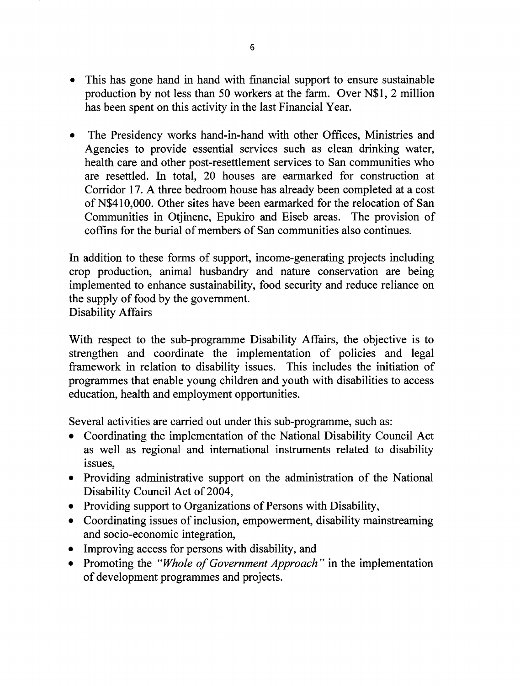- This has gone hand in hand with financial support to ensure sustainable production by not less than 50 workers at the farm. Over N\$I, 2 million has been spent on this activity in the last Financial Year.
- The Presidency works hand-in-hand with other Offices, Ministries and Agencies to provide essential services such as clean drinking water, health care and other post-resettlement services to San communities who are resettled. **In** total, 20 houses are earmarked for construction at Corridor 17. A three bedroom house has already been completed at a cost of N\$410,000. Other sites have been earmarked for the relocation of San Communities in Otjinene, Epukiro and Eiseb areas. The provision of coffins for the burial of members of San communities also continues.

**In** addition to these forms of support, income-generating projects including crop production, animal husbandry and nature conservation are being implemented to enhance sustainability, food security and reduce reliance on the supply of food by the government. Disability Affairs

With respect to the sub-programme Disability Affairs, the objective is to strengthen and coordinate the implementation of policies and legal framework in relation to disability issues. This includes the initiation of programmes that enable young children and youth with disabilities to access education, health and employment opportunities.

Several activities are carried out under this sub-programme, such as:

- Coordinating the implementation of the National Disability Council Act as well as regional and international instruments related to disability issues.
- Providing administrative support on the administration of the National Disability Council Act of 2004,
- Providing support to Organizations of Persons with Disability,
- Coordinating issues of inclusion, empowerment, disability mainstreaming and socio-economic integration,
- Improving access for persons with disability, and
- Promoting the *"Whole of Government Approach"* in the implementation of development programmes and projects.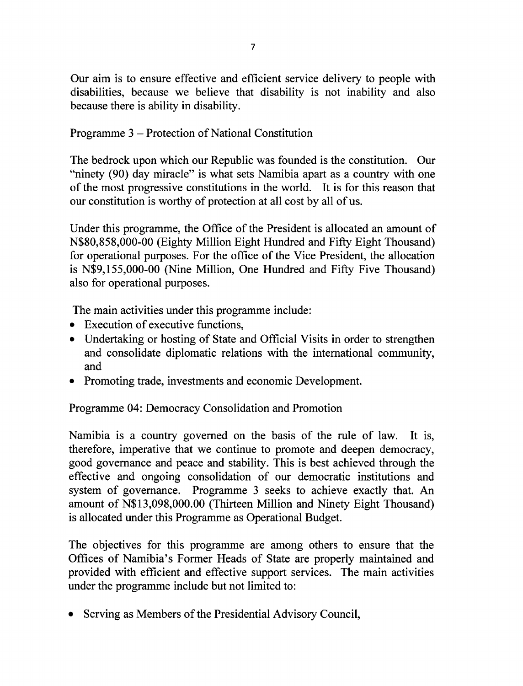Our aim is to ensure effective and efficient service delivery to people with disabilities, because we believe that disability is not inability and also because there is ability in disability.

Programme 3 - Protection of National Constitution

The bedrock upon which our Republic was founded is the constitution. Our "ninety (90) day miracle" is what sets Namibia apart as a country with one of the most progressive constitutions in the world. It is for this reason that our constitution is worthy of protection at all cost by all of us.

Under this programme, the Office of the President is allocated an amount of N\$80,858,000-00 (Eighty Million Eight Hundred and Fifty Eight Thousand) for operational purposes. For the office of the Vice President, the allocation is N\$9,155,000-00 (Nine Million, One Hundred and Fifty Five Thousand) also for operational purposes.

The main activities under this programme include:

- Execution of executive functions,
- Undertaking or hosting of State and Official Visits in order to strengthen and consolidate diplomatic relations with the international community, and
- Promoting trade, investments and economic Development.

Programme 04: Democracy Consolidation and Promotion

Namibia is a country governed on the basis of the rule of law. It is, therefore, imperative that we continue to promote and deepen democracy, good governance and peace and stability. This is best achieved through the effective and ongoing consolidation of our democratic institutions and system of governance. Programme 3 seeks to achieve exactly that. An amount of N\$13,098,000.00 (Thirteen Million and Ninety Eight Thousand) is allocated under this Programme as Operational Budget.

The objectives for this programme are among others to ensure that the Offices of Namibia's Former Heads of State are properly maintained and provided with efficient and effective support services. The main activities under the programme include but not limited to:

• Serving as Members of the Presidential Advisory Council,